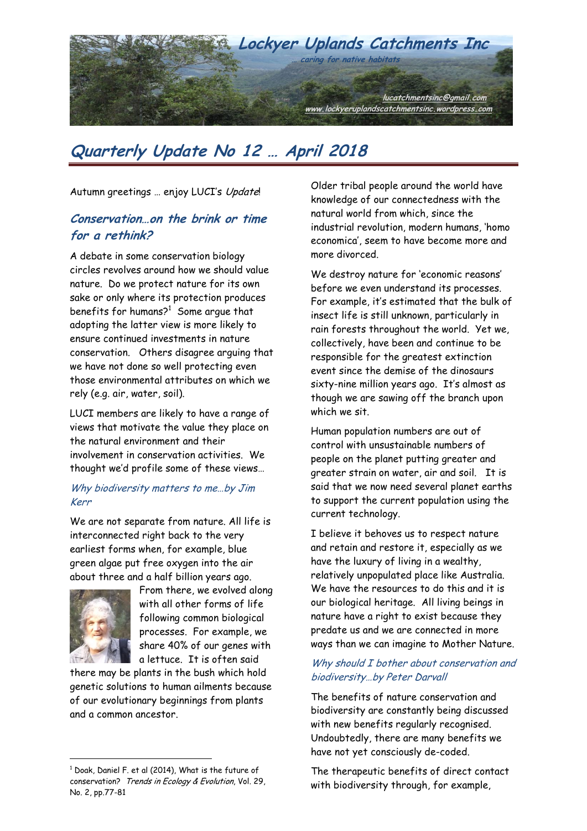

# **Quarterly Update No 12 … April 2018**

Autumn greetings ... enjoy LUCI's Update!

## **Conservation…on the brink or time for a rethink?**

A debate in some conservation biology circles revolves around how we should value nature. Do we protect nature for its own sake or only where its protection produces benefits for humans? $^1\,$  Some argue that adopting the latter view is more likely to ensure continued investments in nature conservation. Others disagree arguing that we have not done so well protecting even those environmental attributes on which we rely (e.g. air, water, soil).

LUCI members are likely to have a range of views that motivate the value they place on the natural environment and their involvement in conservation activities. We thought we"d profile some of these views…

#### Why biodiversity matters to me...by Jim Kerr

We are not separate from nature. All life is interconnected right back to the very earliest forms when, for example, blue green algae put free oxygen into the air about three and a half billion years ago.



 $\overline{a}$ 

From there, we evolved along with all other forms of life following common biological processes. For example, we share 40% of our genes with a lettuce. It is often said

there may be plants in the bush which hold genetic solutions to human ailments because of our evolutionary beginnings from plants and a common ancestor.

Older tribal people around the world have knowledge of our connectedness with the natural world from which, since the industrial revolution, modern humans, "homo economica", seem to have become more and more divorced.

We destroy nature for "economic reasons" before we even understand its processes. For example, it's estimated that the bulk of insect life is still unknown, particularly in rain forests throughout the world. Yet we, collectively, have been and continue to be responsible for the greatest extinction event since the demise of the dinosaurs sixty-nine million years ago. It's almost as though we are sawing off the branch upon which we sit.

Human population numbers are out of control with unsustainable numbers of people on the planet putting greater and greater strain on water, air and soil. It is said that we now need several planet earths to support the current population using the current technology.

I believe it behoves us to respect nature and retain and restore it, especially as we have the luxury of living in a wealthy, relatively unpopulated place like Australia. We have the resources to do this and it is our biological heritage. All living beings in nature have a right to exist because they predate us and we are connected in more ways than we can imagine to Mother Nature.

#### Why should I bother about conservation and biodiversity…by Peter Darvall

The benefits of nature conservation and biodiversity are constantly being discussed with new benefits regularly recognised. Undoubtedly, there are many benefits we have not yet consciously de-coded.

The therapeutic benefits of direct contact with biodiversity through, for example,

 $1$  Doak, Daniel F. et al (2014), What is the future of conservation? Trends in Ecology & Evolution, Vol. 29, No. 2, pp.77-81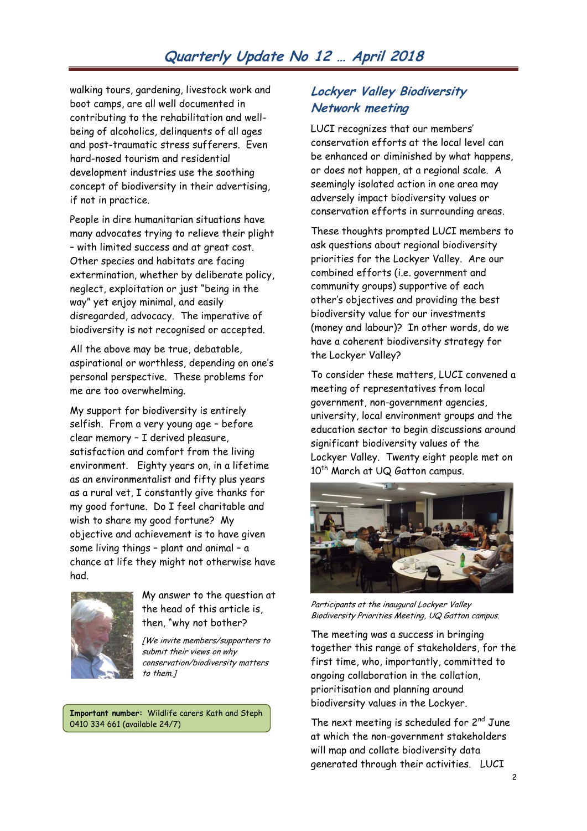## **Quarterly Update No 12 … April 2018**

walking tours, gardening, livestock work and boot camps, are all well documented in contributing to the rehabilitation and wellbeing of alcoholics, delinquents of all ages and post-traumatic stress sufferers. Even hard-nosed tourism and residential development industries use the soothing concept of biodiversity in their advertising, if not in practice.

People in dire humanitarian situations have many advocates trying to relieve their plight – with limited success and at great cost. Other species and habitats are facing extermination, whether by deliberate policy, neglect, exploitation or just "being in the way" yet enjoy minimal, and easily disregarded, advocacy. The imperative of biodiversity is not recognised or accepted.

All the above may be true, debatable, aspirational or worthless, depending on one"s personal perspective. These problems for me are too overwhelming.

My support for biodiversity is entirely selfish. From a very young age – before clear memory – I derived pleasure, satisfaction and comfort from the living environment. Eighty years on, in a lifetime as an environmentalist and fifty plus years as a rural vet, I constantly give thanks for my good fortune. Do I feel charitable and wish to share my good fortune? My objective and achievement is to have given some living things – plant and animal – a chance at life they might not otherwise have had.



My answer to the question at the head of this article is, then, "why not bother?

[We invite members/supporters to submit their views on why conservation/biodiversity matters to them.]

**Important number:** Wildlife carers Kath and Steph 0410 334 661 (available 24/7)

#### **Lockyer Valley Biodiversity Network meeting**

LUCI recognizes that our members" conservation efforts at the local level can be enhanced or diminished by what happens, or does not happen, at a regional scale. A seemingly isolated action in one area may adversely impact biodiversity values or conservation efforts in surrounding areas.

These thoughts prompted LUCI members to ask questions about regional biodiversity priorities for the Lockyer Valley. Are our combined efforts (i.e. government and community groups) supportive of each other"s objectives and providing the best biodiversity value for our investments (money and labour)? In other words, do we have a coherent biodiversity strategy for the Lockyer Valley?

To consider these matters, LUCI convened a meeting of representatives from local government, non-government agencies, university, local environment groups and the education sector to begin discussions around significant biodiversity values of the Lockyer Valley. Twenty eight people met on 10<sup>th</sup> March at UQ Gatton campus.



Participants at the inaugural Lockyer Valley Biodiversity Priorities Meeting, UQ Gatton campus.

The meeting was a success in bringing together this range of stakeholders, for the first time, who, importantly, committed to ongoing collaboration in the collation, prioritisation and planning around biodiversity values in the Lockyer.

The next meeting is scheduled for  $2^{nd}$  June at which the non-government stakeholders will map and collate biodiversity data generated through their activities. LUCI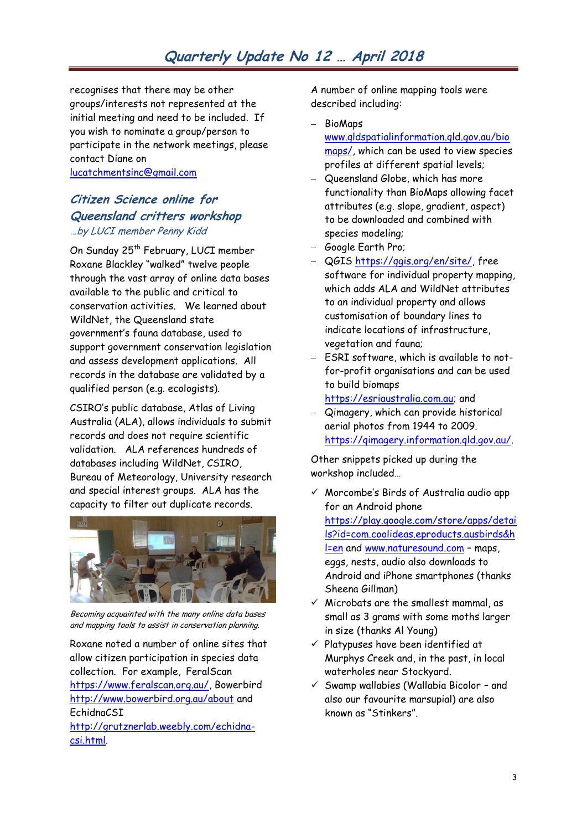## **Quarterly Update No 12 … April 2018**

recognises that there may be other groups/interests not represented at the initial meeting and need to be included. If you wish to nominate a group/person to participate in the network meetings, please contact Diane on

[lucatchmentsinc@gmail.com](mailto:lucatchmentsinc@gmail.com)

#### **Citizen Science online for Queensland critters workshop** …by LUCI member Penny Kidd

On Sunday 25<sup>th</sup> February, LUCI member Roxane Blackley "walked" twelve people through the vast array of online data bases available to the public and critical to conservation activities. We learned about WildNet, the Queensland state government"s fauna database, used to support government conservation legislation and assess development applications. All records in the database are validated by a qualified person (e.g. ecologists).

CSIRO"s public database, Atlas of Living Australia (ALA), allows individuals to submit records and does not require scientific validation. ALA references hundreds of databases including WildNet, CSIRO, Bureau of Meteorology, University research and special interest groups. ALA has the capacity to filter out duplicate records.



Becoming acquainted with the many online data bases and mapping tools to assist in conservation planning.

Roxane noted a number of online sites that allow citizen participation in species data collection. For example, FeralScan [https://www.feralscan.org.au/,](https://www.feralscan.org.au/) Bowerbird <http://www.bowerbird.org.au/about> and EchidnaCSI

[http://grutznerlab.weebly.com/echidna](http://grutznerlab.weebly.com/echidna-csi.html)[csi.html.](http://grutznerlab.weebly.com/echidna-csi.html)

A number of online mapping tools were described including:

- BioMaps [www.qldspatialinformation.qld.gov.au/bio](http://www.qldspatialinformation.qld.gov.au/biomaps/) [maps/,](http://www.qldspatialinformation.qld.gov.au/biomaps/) which can be used to view species profiles at different spatial levels;
- Queensland Globe, which has more functionality than BioMaps allowing facet attributes (e.g. slope, gradient, aspect) to be downloaded and combined with species modeling;
- Google Earth Pro;
- QGIS https://ggis.org/en/site/, free software for individual property mapping, which adds ALA and WildNet attributes to an individual property and allows customisation of boundary lines to indicate locations of infrastructure, vegetation and fauna;
- ESRI software, which is available to notfor-profit organisations and can be used to build biomaps
	- [https://esriaustralia.com.au;](https://esriaustralia.com.au/) and
- Qimagery, which can provide historical aerial photos from 1944 to 2009. [https://qimagery.information.qld.gov.au/.](https://qimagery.information.qld.gov.au/)

Other snippets picked up during the workshop included…

- $\checkmark$  Morcombe's Birds of Australia audio app for an Android phone [https://play.google.com/store/apps/detai](https://play.google.com/store/apps/details?id=com.coolideas.eproducts.ausbirds&hl=en) [ls?id=com.coolideas.eproducts.ausbirds&h](https://play.google.com/store/apps/details?id=com.coolideas.eproducts.ausbirds&hl=en) [l=en](https://play.google.com/store/apps/details?id=com.coolideas.eproducts.ausbirds&hl=en) and [www.naturesound.com](http://www.naturesound.com/) – maps, eggs, nests, audio also downloads to Android and iPhone smartphones (thanks Sheena Gillman)
- $\checkmark$  Microbats are the smallest mammal, as small as 3 grams with some moths larger in size (thanks Al Young)
- $\checkmark$  Platypuses have been identified at Murphys Creek and, in the past, in local waterholes near Stockyard.
- $\checkmark$  Swamp wallabies (Wallabia Bicolor and also our favourite marsupial) are also known as "Stinkers".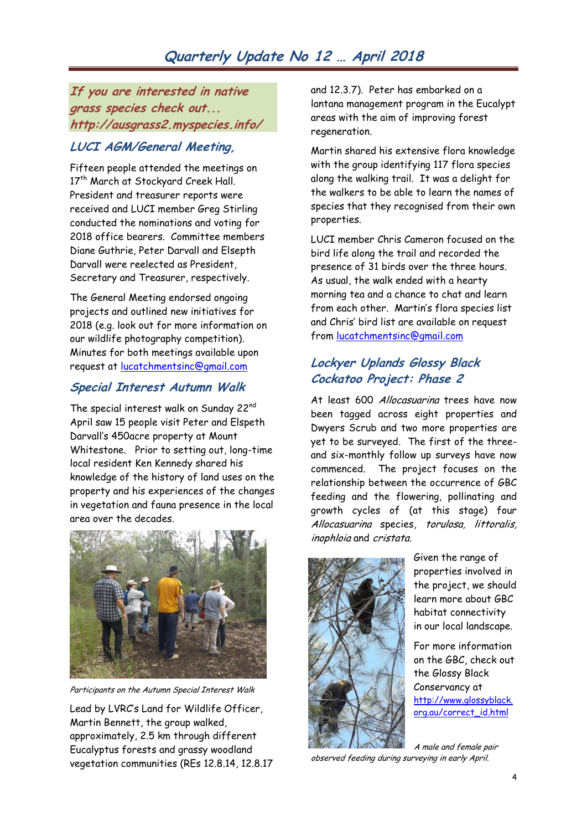**If you are interested in native grass species check out... http://ausgrass2.myspecies.info/**

## **LUCI AGM/General Meeting,**

Fifteen people attended the meetings on 17<sup>th</sup> March at Stockyard Creek Hall. President and treasurer reports were received and LUCI member Greg Stirling conducted the nominations and voting for 2018 office bearers. Committee members Diane Guthrie, Peter Darvall and Elsepth Darvall were reelected as President, Secretary and Treasurer, respectively.

The General Meeting endorsed ongoing projects and outlined new initiatives for 2018 (e.g. look out for more information on our wildlife photography competition). Minutes for both meetings available upon request at [lucatchmentsinc@gmail.com](mailto:lucatchmentsinc@gmail.com)

## **Special Interest Autumn Walk**

The special interest walk on Sunday 22<sup>nd</sup> April saw 15 people visit Peter and Elspeth Darvall"s 450acre property at Mount Whitestone. Prior to setting out, long-time local resident Ken Kennedy shared his knowledge of the history of land uses on the property and his experiences of the changes in vegetation and fauna presence in the local area over the decades.



Participants on the Autumn Special Interest Walk

Lead by LVRC"s Land for Wildlife Officer, Martin Bennett, the group walked, approximately, 2.5 km through different Eucalyptus forests and grassy woodland vegetation communities (REs 12.8.14, 12.8.17 and 12.3.7). Peter has embarked on a lantana management program in the Eucalypt areas with the aim of improving forest regeneration.

Martin shared his extensive flora knowledge with the group identifying 117 flora species along the walking trail. It was a delight for the walkers to be able to learn the names of species that they recognised from their own properties.

LUCI member Chris Cameron focused on the bird life along the trail and recorded the presence of 31 birds over the three hours. As usual, the walk ended with a hearty morning tea and a chance to chat and learn from each other. Martin's flora species list and Chris" bird list are available on request from [lucatchmentsinc@gmail.com](mailto:lucatchmentsinc@gmail.com) 

## **Lockyer Uplands Glossy Black Cockatoo Project: Phase 2**

At least 600 Allocasuarina trees have now been tagged across eight properties and Dwyers Scrub and two more properties are yet to be surveyed. The first of the threeand six-monthly follow up surveys have now commenced. The project focuses on the relationship between the occurrence of GBC feeding and the flowering, pollinating and growth cycles of (at this stage) four Allocasuarina species, torulosa, littoralis, inophloia and cristata.



Given the range of properties involved in the project, we should learn more about GBC habitat connectivity in our local landscape.

For more information on the GBC, check out the Glossy Black Conservancy at [http://www.glossyblack.](http://www.glossyblack.org.au/correct_id.html) [org.au/correct\\_id.html](http://www.glossyblack.org.au/correct_id.html)

A male and female pair observed feeding during surveying in early April.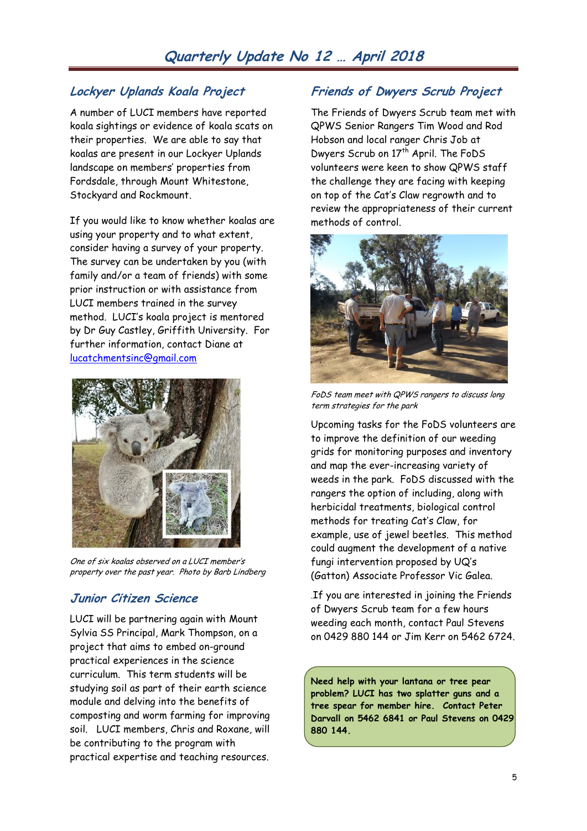## **Lockyer Uplands Koala Project**

A number of LUCI members have reported koala sightings or evidence of koala scats on their properties. We are able to say that koalas are present in our Lockyer Uplands landscape on members" properties from Fordsdale, through Mount Whitestone, Stockyard and Rockmount.

If you would like to know whether koalas are using your property and to what extent, consider having a survey of your property. The survey can be undertaken by you (with family and/or a team of friends) with some prior instruction or with assistance from LUCI members trained in the survey method. LUCI"s koala project is mentored by Dr Guy Castley, Griffith University. For further information, contact Diane at [lucatchmentsinc@gmail.com](mailto:lucatchmentsinc@gmail.com)



One of six koalas observed on a LUCI member"s property over the past year. Photo by Barb Lindberg

## **Junior Citizen Science**

LUCI will be partnering again with Mount Sylvia SS Principal, Mark Thompson, on a project that aims to embed on-ground practical experiences in the science curriculum. This term students will be studying soil as part of their earth science module and delving into the benefits of composting and worm farming for improving soil. LUCI members, Chris and Roxane, will be contributing to the program with practical expertise and teaching resources.

## **Friends of Dwyers Scrub Project**

The Friends of Dwyers Scrub team met with QPWS Senior Rangers Tim Wood and Rod Hobson and local ranger Chris Job at Dwyers Scrub on 17<sup>th</sup> April. The FoDS volunteers were keen to show QPWS staff the challenge they are facing with keeping on top of the Cat"s Claw regrowth and to review the appropriateness of their current methods of control.



FoDS team meet with QPWS rangers to discuss long term strategies for the park

Upcoming tasks for the FoDS volunteers are to improve the definition of our weeding grids for monitoring purposes and inventory and map the ever-increasing variety of weeds in the park. FoDS discussed with the rangers the option of including, along with herbicidal treatments, biological control methods for treating Cat"s Claw, for example, use of jewel beetles. This method could augment the development of a native fungi intervention proposed by UQ"s (Gatton) Associate Professor Vic Galea.

.If you are interested in joining the Friends of Dwyers Scrub team for a few hours weeding each month, contact Paul Stevens on 0429 880 144 or Jim Kerr on 5462 6724.

**Need help with your lantana or tree pear problem? LUCI has two splatter guns and a tree spear for member hire. Contact Peter Darvall on 5462 6841 or Paul Stevens on 0429 880 144.**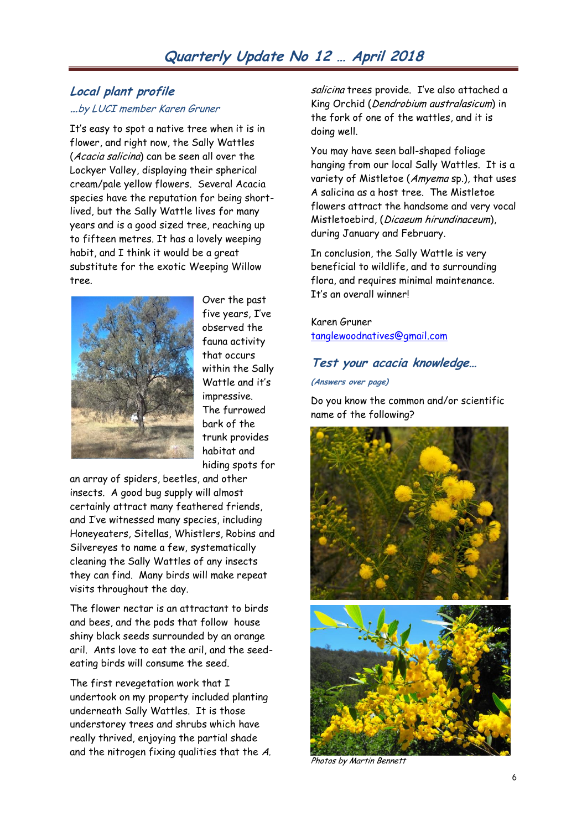#### **Local plant profile …**by LUCI member Karen Gruner

It's easy to spot a native tree when it is in flower, and right now, the Sally Wattles (Acacia salicina) can be seen all over the Lockyer Valley, displaying their spherical cream/pale yellow flowers. Several Acacia species have the reputation for being shortlived, but the Sally Wattle lives for many years and is a good sized tree, reaching up to fifteen metres. It has a lovely weeping habit, and I think it would be a great substitute for the exotic Weeping Willow tree.



Over the past five years, I've observed the fauna activity that occurs within the Sally Wattle and it"s impressive. The furrowed bark of the trunk provides habitat and hiding spots for

an array of spiders, beetles, and other insects. A good bug supply will almost certainly attract many feathered friends, and I've witnessed many species, including Honeyeaters, Sitellas, Whistlers, Robins and Silvereyes to name a few, systematically cleaning the Sally Wattles of any insects they can find. Many birds will make repeat visits throughout the day.

The flower nectar is an attractant to birds and bees, and the pods that follow house shiny black seeds surrounded by an orange aril. Ants love to eat the aril, and the seedeating birds will consume the seed.

The first revegetation work that I undertook on my property included planting underneath Sally Wattles. It is those understorey trees and shrubs which have really thrived, enjoying the partial shade and the nitrogen fixing qualities that the A. salicina trees provide. I've also attached a King Orchid (Dendrobium australasicum) in the fork of one of the wattles, and it is doing well.

You may have seen ball-shaped foliage hanging from our local Sally Wattles. It is a variety of Mistletoe (Amyema sp.), that uses A salicina as a host tree. The Mistletoe flowers attract the handsome and very vocal Mistletoebird, (Dicaeum hirundinaceum), during January and February.

In conclusion, the Sally Wattle is very beneficial to wildlife, and to surrounding flora, and requires minimal maintenance. It"s an overall winner!

Karen Gruner [tanglewoodnatives@gmail.com](mailto:tanglewoodnatives@gmail.com)

#### **Test your acacia knowledge…**

**(Answers over page)** 

Do you know the common and/or scientific name of the following?



Photos by Martin Bennett